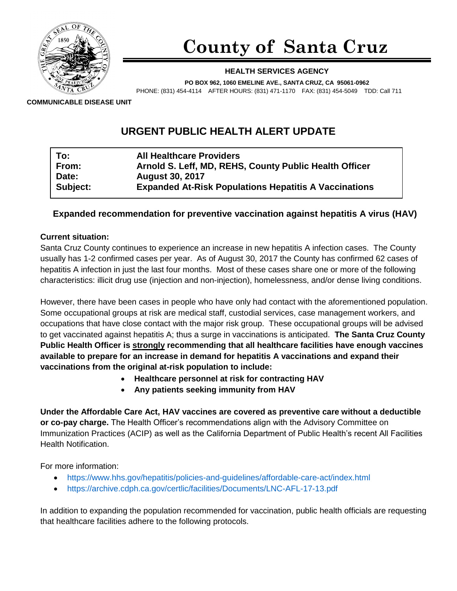

# **County of Santa Cruz**

#### **HEALTH SERVICES AGENCY**

**PO BOX 962, 1060 EMELINE AVE., SANTA CRUZ, CA 95061-0962**

PHONE: (831) 454-4114 AFTER HOURS: (831) 471-1170 FAX: (831) 454-5049 TDD: Call 711

**COMMUNICABLE DISEASE UNIT**

# **URGENT PUBLIC HEALTH ALERT UPDATE**

| To:      | <b>All Healthcare Providers</b>                              |
|----------|--------------------------------------------------------------|
| From:    | Arnold S. Leff, MD, REHS, County Public Health Officer       |
| Date:    | <b>August 30, 2017</b>                                       |
| Subject: | <b>Expanded At-Risk Populations Hepatitis A Vaccinations</b> |

## **Expanded recommendation for preventive vaccination against hepatitis A virus (HAV)**

#### **Current situation:**

Santa Cruz County continues to experience an increase in new hepatitis A infection cases. The County usually has 1-2 confirmed cases per year. As of August 30, 2017 the County has confirmed 62 cases of hepatitis A infection in just the last four months. Most of these cases share one or more of the following characteristics: illicit drug use (injection and non-injection), homelessness, and/or dense living conditions.

However, there have been cases in people who have only had contact with the aforementioned population. Some occupational groups at risk are medical staff, custodial services, case management workers, and occupations that have close contact with the major risk group. These occupational groups will be advised to get vaccinated against hepatitis A; thus a surge in vaccinations is anticipated. **The Santa Cruz County Public Health Officer is strongly recommending that all healthcare facilities have enough vaccines available to prepare for an increase in demand for hepatitis A vaccinations and expand their vaccinations from the original at-risk population to include:**

- **Healthcare personnel at risk for contracting HAV**
- **Any patients seeking immunity from HAV**

**Under the Affordable Care Act, HAV vaccines are covered as preventive care without a deductible or co-pay charge.** The Health Officer's recommendations align with the Advisory Committee on Immunization Practices (ACIP) as well as the California Department of Public Health's recent All Facilities Health Notification.

For more information:

- <https://www.hhs.gov/hepatitis/policies-and-guidelines/affordable-care-act/index.html>
- <https://archive.cdph.ca.gov/certlic/facilities/Documents/LNC-AFL-17-13.pdf>

In addition to expanding the population recommended for vaccination, public health officials are requesting that healthcare facilities adhere to the following protocols.